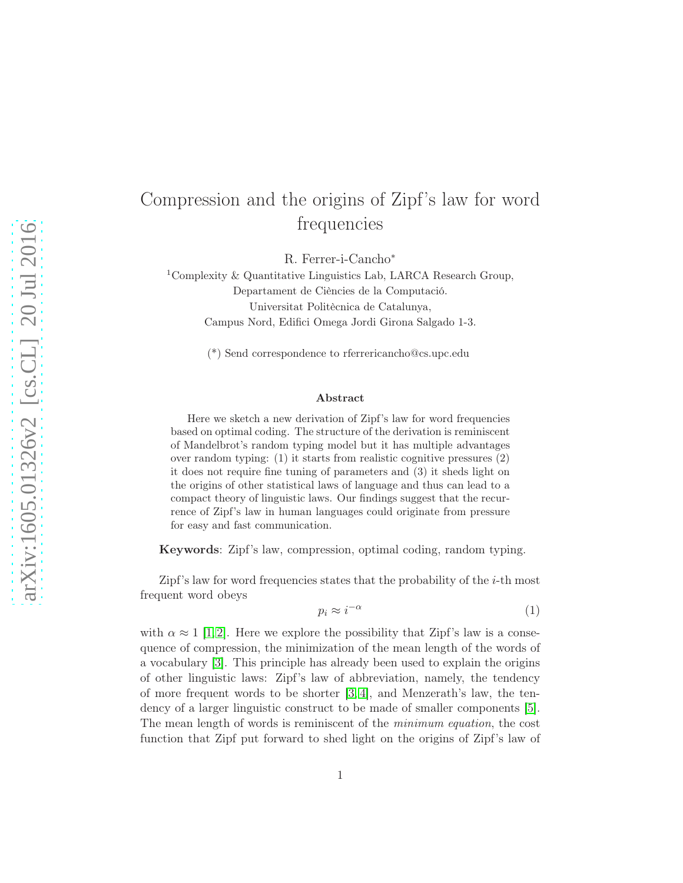## Compression and the origins of Zipf's law for word frequencies

R. Ferrer-i-Cancho<sup>∗</sup>

<sup>1</sup>Complexity & Quantitative Linguistics Lab, LARCA Research Group, Departament de Ciències de la Computació. Universitat Politècnica de Catalunya, Campus Nord, Edifici Omega Jordi Girona Salgado 1-3.

(\*) Send correspondence to rferrericancho@cs.upc.edu

## Abstract

Here we sketch a new derivation of Zipf's law for word frequencies based on optimal coding. The structure of the derivation is reminiscent of Mandelbrot's random typing model but it has multiple advantages over random typing: (1) it starts from realistic cognitive pressures (2) it does not require fine tuning of parameters and (3) it sheds light on the origins of other statistical laws of language and thus can lead to a compact theory of linguistic laws. Our findings suggest that the recurrence of Zipf's law in human languages could originate from pressure for easy and fast communication.

Keywords: Zipf's law, compression, optimal coding, random typing.

Zipf's law for word frequencies states that the probability of the  $i$ -th most frequent word obeys

<span id="page-0-0"></span>
$$
p_i \approx i^{-\alpha} \tag{1}
$$

with  $\alpha \approx 1$  [\[1,](#page-4-0)2]. Here we explore the possibility that Zipf's law is a consequence of compression, the minimization of the mean length of the words of a vocabulary [\[3\]](#page-4-2). This principle has already been used to explain the origins of other linguistic laws: Zipf's law of abbreviation, namely, the tendency of more frequent words to be shorter  $(3, 4)$ , and Menzerath's law, the tendency of a larger linguistic construct to be made of smaller components [\[5\]](#page-5-0). The mean length of words is reminiscent of the *minimum equation*, the cost function that Zipf put forward to shed light on the origins of Zipf's law of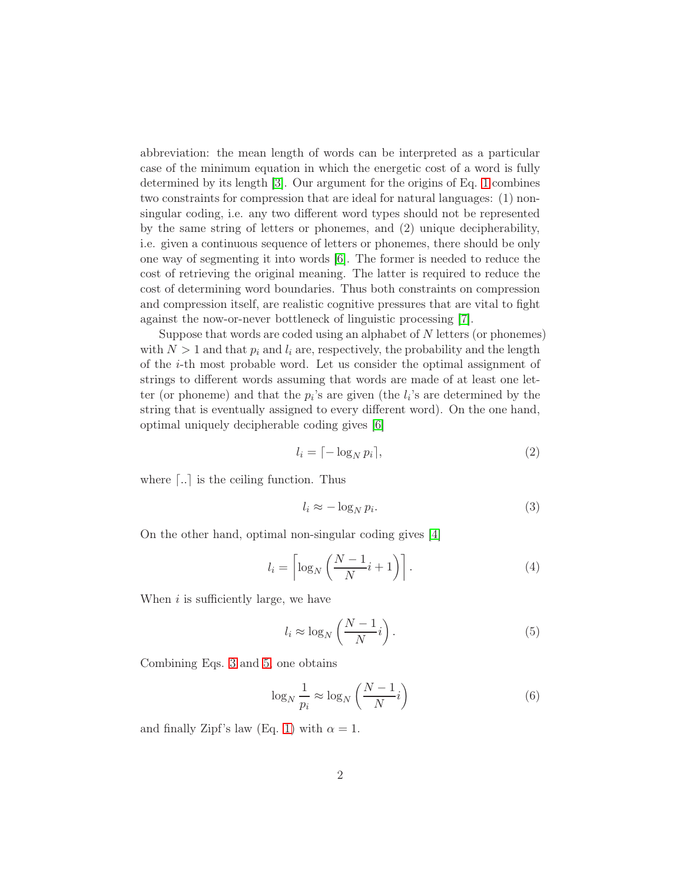abbreviation: the mean length of words can be interpreted as a particular case of the minimum equation in which the energetic cost of a word is fully determined by its length [\[3\]](#page-4-2). Our argument for the origins of Eq. [1](#page-0-0) combines two constraints for compression that are ideal for natural languages: (1) nonsingular coding, i.e. any two different word types should not be represented by the same string of letters or phonemes, and (2) unique decipherability, i.e. given a continuous sequence of letters or phonemes, there should be only one way of segmenting it into words [\[6\]](#page-5-1). The former is needed to reduce the cost of retrieving the original meaning. The latter is required to reduce the cost of determining word boundaries. Thus both constraints on compression and compression itself, are realistic cognitive pressures that are vital to fight against the now-or-never bottleneck of linguistic processing [\[7\]](#page-5-2).

Suppose that words are coded using an alphabet of N letters (or phonemes) with  $N > 1$  and that  $p_i$  and  $l_i$  are, respectively, the probability and the length of the i-th most probable word. Let us consider the optimal assignment of strings to different words assuming that words are made of at least one letter (or phoneme) and that the  $p_i$ 's are given (the  $l_i$ 's are determined by the string that is eventually assigned to every different word). On the one hand, optimal uniquely decipherable coding gives [\[6\]](#page-5-1)

$$
l_i = \lceil -\log_N p_i \rceil,\tag{2}
$$

where  $\lceil . \rceil$  is the ceiling function. Thus

<span id="page-1-0"></span>
$$
l_i \approx -\log_N p_i. \tag{3}
$$

On the other hand, optimal non-singular coding gives [\[4\]](#page-4-3)

<span id="page-1-2"></span>
$$
l_i = \left\lceil \log_N \left( \frac{N-1}{N} i + 1 \right) \right\rceil. \tag{4}
$$

When  $i$  is sufficiently large, we have

<span id="page-1-1"></span>
$$
l_i \approx \log_N\left(\frac{N-1}{N}i\right). \tag{5}
$$

Combining Eqs. [3](#page-1-0) and [5,](#page-1-1) one obtains

$$
\log_N \frac{1}{p_i} \approx \log_N \left( \frac{N-1}{N} i \right) \tag{6}
$$

and finally Zipf's law (Eq. [1\)](#page-0-0) with  $\alpha = 1$ .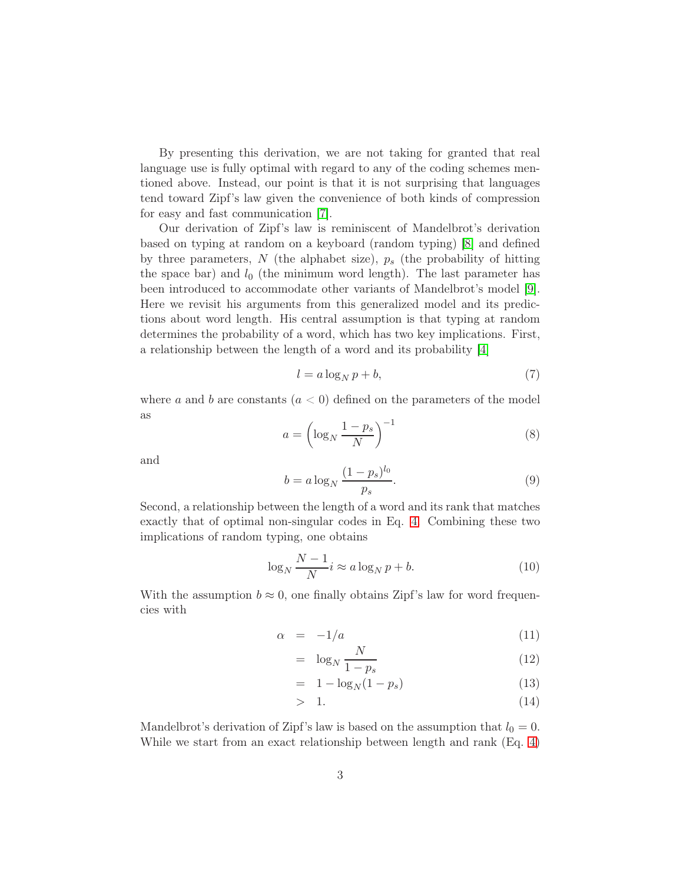By presenting this derivation, we are not taking for granted that real language use is fully optimal with regard to any of the coding schemes mentioned above. Instead, our point is that it is not surprising that languages tend toward Zipf's law given the convenience of both kinds of compression for easy and fast communication [\[7\]](#page-5-2).

Our derivation of Zipf's law is reminiscent of Mandelbrot's derivation based on typing at random on a keyboard (random typing) [\[8\]](#page-5-3) and defined by three parameters,  $N$  (the alphabet size),  $p_s$  (the probability of hitting the space bar) and  $l_0$  (the minimum word length). The last parameter has been introduced to accommodate other variants of Mandelbrot's model [\[9\]](#page-5-4). Here we revisit his arguments from this generalized model and its predictions about word length. His central assumption is that typing at random determines the probability of a word, which has two key implications. First, a relationship between the length of a word and its probability [\[4\]](#page-4-3)

<span id="page-2-0"></span>
$$
l = a \log_N p + b,\tag{7}
$$

where a and b are constants  $(a < 0)$  defined on the parameters of the model as

$$
a = \left(\log_N \frac{1 - p_s}{N}\right)^{-1} \tag{8}
$$

and

$$
b = a \log_N \frac{(1 - p_s)^{l_0}}{p_s}.
$$
\n(9)

Second, a relationship between the length of a word and its rank that matches exactly that of optimal non-singular codes in Eq. [4.](#page-1-2) Combining these two implications of random typing, one obtains

$$
\log_N \frac{N-1}{N} i \approx a \log_N p + b. \tag{10}
$$

With the assumption  $b \approx 0$ , one finally obtains Zipf's law for word frequencies with

<span id="page-2-1"></span>
$$
\alpha = -1/a \tag{11}
$$

$$
= \log_N \frac{N}{1 - p_s} \tag{12}
$$

$$
= 1 - \log_N(1 - p_s) \tag{13}
$$

$$
> \quad 1. \tag{14}
$$

Mandelbrot's derivation of Zipf's law is based on the assumption that  $l_0 = 0$ . While we start from an exact relationship between length and rank (Eq. [4\)](#page-1-2)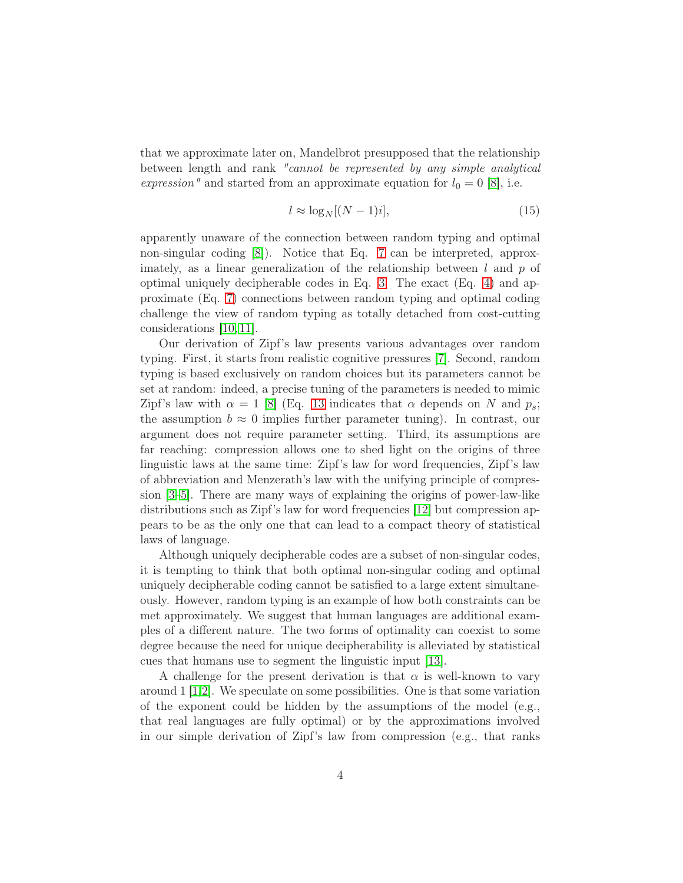that we approximate later on, Mandelbrot presupposed that the relationship between length and rank *"cannot be represented by any simple analytical expression*" and started from an approximate equation for  $l_0 = 0$  [\[8\]](#page-5-3), i.e.

$$
l \approx \log_N[(N-1)i],\tag{15}
$$

apparently unaware of the connection between random typing and optimal non-singular coding [\[8\]](#page-5-3)). Notice that Eq. [7](#page-2-0) can be interpreted, approximately, as a linear generalization of the relationship between  $l$  and  $p$  of optimal uniquely decipherable codes in Eq. [3.](#page-1-0) The exact (Eq. [4\)](#page-1-2) and approximate (Eq. [7\)](#page-2-0) connections between random typing and optimal coding challenge the view of random typing as totally detached from cost-cutting considerations [\[10,](#page-5-5) [11\]](#page-5-6).

Our derivation of Zipf's law presents various advantages over random typing. First, it starts from realistic cognitive pressures [\[7\]](#page-5-2). Second, random typing is based exclusively on random choices but its parameters cannot be set at random: indeed, a precise tuning of the parameters is needed to mimic Zipf's law with  $\alpha = 1$  [\[8\]](#page-5-3) (Eq. [13](#page-2-1) indicates that  $\alpha$  depends on N and  $p_s$ ; the assumption  $b \approx 0$  implies further parameter tuning). In contrast, our argument does not require parameter setting. Third, its assumptions are far reaching: compression allows one to shed light on the origins of three linguistic laws at the same time: Zipf's law for word frequencies, Zipf's law of abbreviation and Menzerath's law with the unifying principle of compression [\[3](#page-4-2)[–5\]](#page-5-0). There are many ways of explaining the origins of power-law-like distributions such as Zipf's law for word frequencies [\[12\]](#page-5-7) but compression appears to be as the only one that can lead to a compact theory of statistical laws of language.

Although uniquely decipherable codes are a subset of non-singular codes, it is tempting to think that both optimal non-singular coding and optimal uniquely decipherable coding cannot be satisfied to a large extent simultaneously. However, random typing is an example of how both constraints can be met approximately. We suggest that human languages are additional examples of a different nature. The two forms of optimality can coexist to some degree because the need for unique decipherability is alleviated by statistical cues that humans use to segment the linguistic input [\[13\]](#page-5-8).

A challenge for the present derivation is that  $\alpha$  is well-known to vary around  $1 \vert 1,2 \vert$ . We speculate on some possibilities. One is that some variation of the exponent could be hidden by the assumptions of the model  $(e.g.,)$ that real languages are fully optimal) or by the approximations involved in our simple derivation of Zipf's law from compression (e.g., that ranks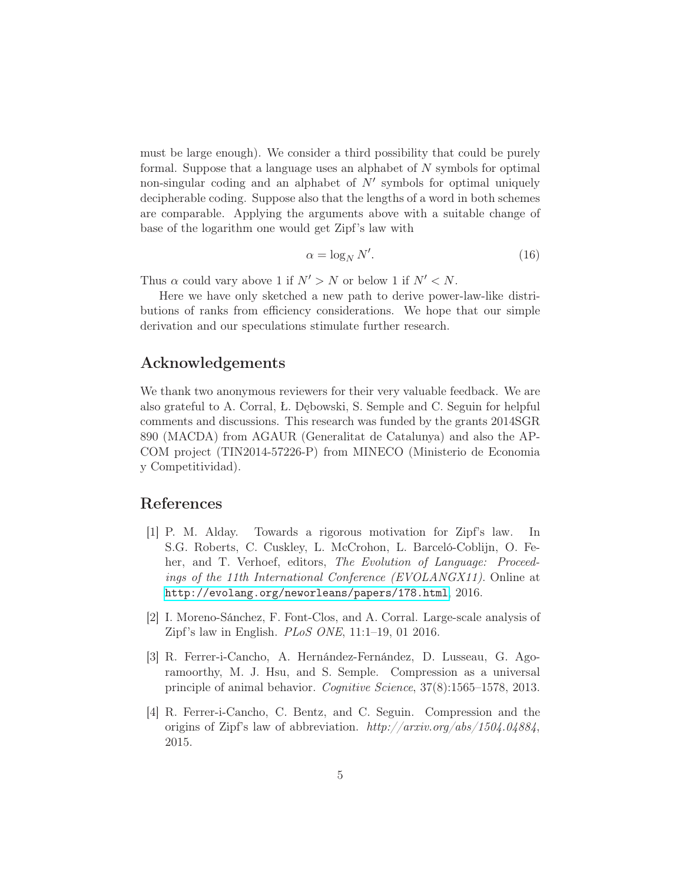must be large enough). We consider a third possibility that could be purely formal. Suppose that a language uses an alphabet of N symbols for optimal non-singular coding and an alphabet of  $N'$  symbols for optimal uniquely decipherable coding. Suppose also that the lengths of a word in both schemes are comparable. Applying the arguments above with a suitable change of base of the logarithm one would get Zipf's law with

$$
\alpha = \log_N N'.\tag{16}
$$

Thus  $\alpha$  could vary above 1 if  $N' > N$  or below 1 if  $N' < N$ .

Here we have only sketched a new path to derive power-law-like distributions of ranks from efficiency considerations. We hope that our simple derivation and our speculations stimulate further research.

## Acknowledgements

We thank two anonymous reviewers for their very valuable feedback. We are also grateful to A. Corral, Ł. Dębowski, S. Semple and C. Seguin for helpful comments and discussions. This research was funded by the grants 2014SGR 890 (MACDA) from AGAUR (Generalitat de Catalunya) and also the AP-COM project (TIN2014-57226-P) from MINECO (Ministerio de Economia y Competitividad).

## <span id="page-4-0"></span>References

- [1] P. M. Alday. Towards a rigorous motivation for Zipf's law. In S.G. Roberts, C. Cuskley, L. McCrohon, L. Barceló-Coblijn, O. Feher, and T. Verhoef, editors, *The Evolution of Language: Proceedings of the 11th International Conference (EVOLANGX11)*. Online at <http://evolang.org/neworleans/papers/178.html>, 2016.
- <span id="page-4-2"></span><span id="page-4-1"></span>[2] I. Moreno-Sánchez, F. Font-Clos, and A. Corral. Large-scale analysis of Zipf's law in English. *PLoS ONE*, 11:1–19, 01 2016.
- [3] R. Ferrer-i-Cancho, A. Hernández-Fernández, D. Lusseau, G. Agoramoorthy, M. J. Hsu, and S. Semple. Compression as a universal principle of animal behavior. *Cognitive Science*, 37(8):1565–1578, 2013.
- <span id="page-4-3"></span>[4] R. Ferrer-i-Cancho, C. Bentz, and C. Seguin. Compression and the origins of Zipf's law of abbreviation. *http://arxiv.org/abs/1504.04884*, 2015.